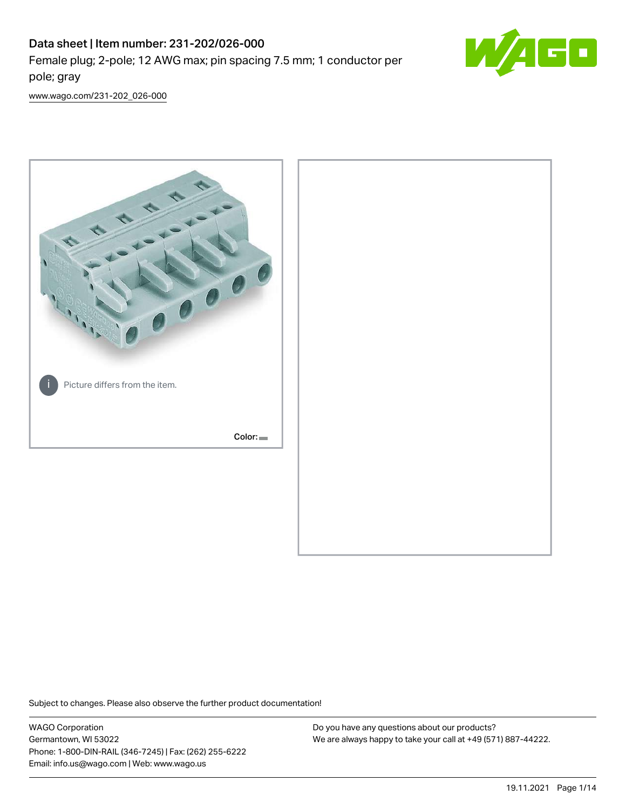# Data sheet | Item number: 231-202/026-000 Female plug; 2-pole; 12 AWG max; pin spacing 7.5 mm; 1 conductor per pole; gray



[www.wago.com/231-202\\_026-000](http://www.wago.com/231-202_026-000)



Subject to changes. Please also observe the further product documentation!

WAGO Corporation Germantown, WI 53022 Phone: 1-800-DIN-RAIL (346-7245) | Fax: (262) 255-6222 Email: info.us@wago.com | Web: www.wago.us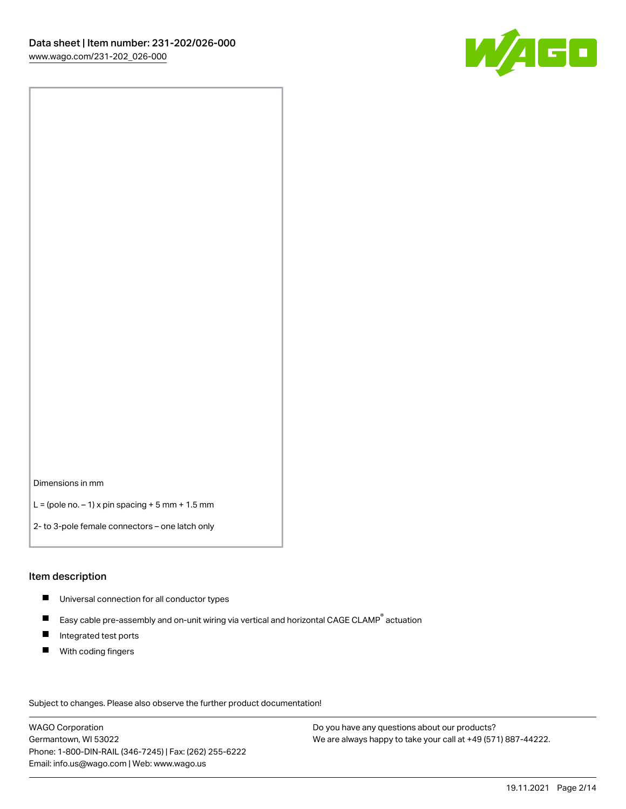

Dimensions in mm

 $L =$  (pole no.  $-1$ ) x pin spacing  $+5$  mm  $+ 1.5$  mm

2- to 3-pole female connectors – one latch only

#### Item description

- **Universal connection for all conductor types**
- Easy cable pre-assembly and on-unit wiring via vertical and horizontal CAGE CLAMP<sup>®</sup> actuation  $\blacksquare$
- $\blacksquare$ Integrated test ports
- $\blacksquare$ With coding fingers

Subject to changes. Please also observe the further product documentation! Data

WAGO Corporation Germantown, WI 53022 Phone: 1-800-DIN-RAIL (346-7245) | Fax: (262) 255-6222 Email: info.us@wago.com | Web: www.wago.us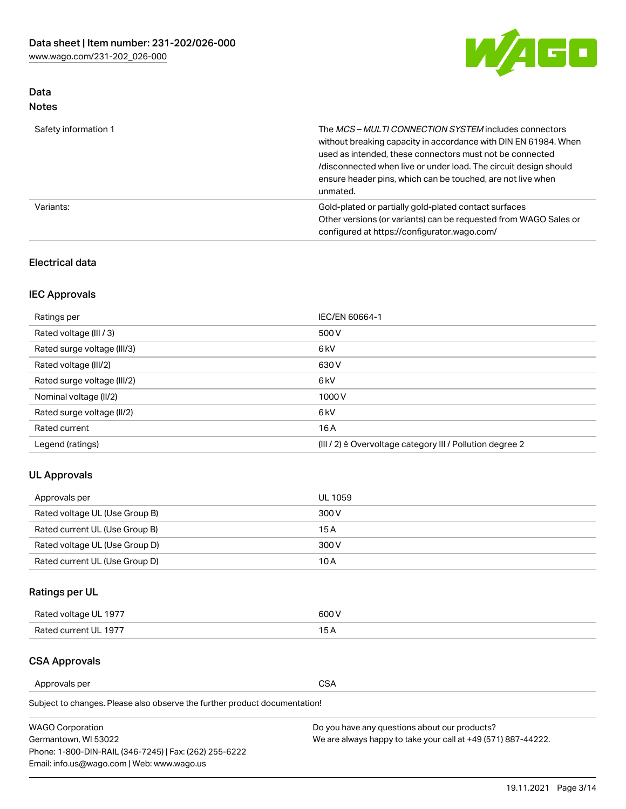

# Data Notes

| Safety information 1 | The MCS-MULTI CONNECTION SYSTEM includes connectors<br>without breaking capacity in accordance with DIN EN 61984. When<br>used as intended, these connectors must not be connected<br>/disconnected when live or under load. The circuit design should<br>ensure header pins, which can be touched, are not live when<br>unmated. |
|----------------------|-----------------------------------------------------------------------------------------------------------------------------------------------------------------------------------------------------------------------------------------------------------------------------------------------------------------------------------|
| Variants:            | Gold-plated or partially gold-plated contact surfaces<br>Other versions (or variants) can be requested from WAGO Sales or<br>configured at https://configurator.wago.com/                                                                                                                                                         |

### Electrical data

# IEC Approvals

| Ratings per                 | IEC/EN 60664-1                                                        |
|-----------------------------|-----------------------------------------------------------------------|
| Rated voltage (III / 3)     | 500 V                                                                 |
| Rated surge voltage (III/3) | 6 <sub>kV</sub>                                                       |
| Rated voltage (III/2)       | 630 V                                                                 |
| Rated surge voltage (III/2) | 6 <sub>kV</sub>                                                       |
| Nominal voltage (II/2)      | 1000V                                                                 |
| Rated surge voltage (II/2)  | 6 <sub>kV</sub>                                                       |
| Rated current               | 16 A                                                                  |
| Legend (ratings)            | $(III / 2)$ $\triangle$ Overvoltage category III / Pollution degree 2 |

### UL Approvals

| Approvals per                  | UL 1059 |
|--------------------------------|---------|
| Rated voltage UL (Use Group B) | 300 V   |
| Rated current UL (Use Group B) | 15 A    |
| Rated voltage UL (Use Group D) | 300 V   |
| Rated current UL (Use Group D) | 10 A    |

# Ratings per UL

| Rated voltage UL 1977 | 300 V |
|-----------------------|-------|
| Rated current UL 1977 |       |

### CSA Approvals

Approvals per CSA

Subject to changes. Please also observe the further product documentation!

| <b>WAGO Corporation</b>                                | Do you have any questions about our products?                 |
|--------------------------------------------------------|---------------------------------------------------------------|
| Germantown, WI 53022                                   | We are always happy to take your call at +49 (571) 887-44222. |
| Phone: 1-800-DIN-RAIL (346-7245)   Fax: (262) 255-6222 |                                                               |
| Email: info.us@wago.com   Web: www.wago.us             |                                                               |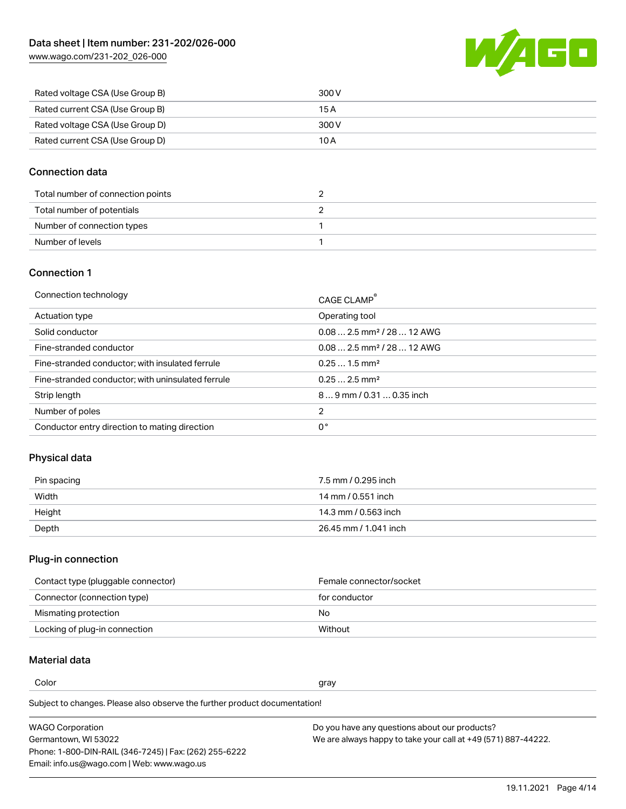[www.wago.com/231-202\\_026-000](http://www.wago.com/231-202_026-000)



| Rated voltage CSA (Use Group B) | 300 V |
|---------------------------------|-------|
| Rated current CSA (Use Group B) | 15 A  |
| Rated voltage CSA (Use Group D) | 300 V |
| Rated current CSA (Use Group D) | 10 A  |

### Connection data

| Total number of connection points |  |
|-----------------------------------|--|
| Total number of potentials        |  |
| Number of connection types        |  |
| Number of levels                  |  |

### Connection 1

| Connection technology                             | CAGE CLAMP <sup>®</sup>                 |
|---------------------------------------------------|-----------------------------------------|
| Actuation type                                    | Operating tool                          |
| Solid conductor                                   | $0.082.5$ mm <sup>2</sup> / 28  12 AWG  |
| Fine-stranded conductor                           | $0.08$ 2.5 mm <sup>2</sup> / 28  12 AWG |
| Fine-stranded conductor; with insulated ferrule   | $0.251.5$ mm <sup>2</sup>               |
| Fine-stranded conductor; with uninsulated ferrule | $0.252.5$ mm <sup>2</sup>               |
| Strip length                                      | $89$ mm $/$ 0.31  0.35 inch             |
| Number of poles                                   | 2                                       |
| Conductor entry direction to mating direction     | 0°                                      |

### Physical data

| Pin spacing | 7.5 mm / 0.295 inch   |
|-------------|-----------------------|
| Width       | 14 mm / 0.551 inch    |
| Height      | 14.3 mm / 0.563 inch  |
| Depth       | 26.45 mm / 1.041 inch |

# Plug-in connection

| Contact type (pluggable connector) | Female connector/socket |
|------------------------------------|-------------------------|
| Connector (connection type)        | for conductor           |
| Mismating protection               | No.                     |
| Locking of plug-in connection      | Without                 |

### Material data

Color and the color of the color of the color of the color of the color of the color of the color of the color

Subject to changes. Please also observe the further product documentation! Material group I

| <b>WAGO Corporation</b>                                | Do you have any questions about our products?                 |
|--------------------------------------------------------|---------------------------------------------------------------|
| Germantown, WI 53022                                   | We are always happy to take your call at +49 (571) 887-44222. |
| Phone: 1-800-DIN-RAIL (346-7245)   Fax: (262) 255-6222 |                                                               |
| Email: info.us@wago.com   Web: www.wago.us             |                                                               |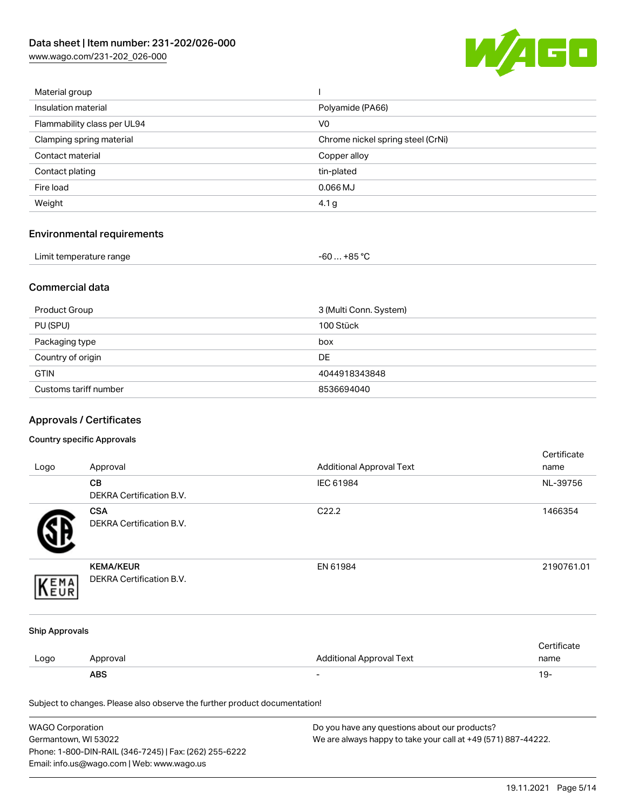[www.wago.com/231-202\\_026-000](http://www.wago.com/231-202_026-000)



| Material group              |                                   |
|-----------------------------|-----------------------------------|
| Insulation material         | Polyamide (PA66)                  |
| Flammability class per UL94 | V <sub>0</sub>                    |
| Clamping spring material    | Chrome nickel spring steel (CrNi) |
| Contact material            | Copper alloy                      |
| Contact plating             | tin-plated                        |
| Fire load                   | $0.066$ MJ                        |
| Weight                      | 4.1 g                             |
|                             |                                   |

# Environmental requirements

| Limit temperature range | $-60+85 °C$ |  |
|-------------------------|-------------|--|
|-------------------------|-------------|--|

### Commercial data

| Product Group         | 3 (Multi Conn. System) |
|-----------------------|------------------------|
| PU (SPU)              | 100 Stück              |
| Packaging type        | box                    |
| Country of origin     | <b>DE</b>              |
| <b>GTIN</b>           | 4044918343848          |
| Customs tariff number | 8536694040             |

# Approvals / Certificates

#### Country specific Approvals

| Logo                  | Approval                                                                   | <b>Additional Approval Text</b> | Certificate<br>name |
|-----------------------|----------------------------------------------------------------------------|---------------------------------|---------------------|
|                       | CВ<br>DEKRA Certification B.V.                                             | IEC 61984                       | NL-39756            |
|                       | <b>CSA</b><br>DEKRA Certification B.V.                                     | C22.2                           | 1466354             |
| EMA<br>EUR            | <b>KEMA/KEUR</b><br>DEKRA Certification B.V.                               | EN 61984                        | 2190761.01          |
| <b>Ship Approvals</b> |                                                                            |                                 |                     |
| Logo                  | Approval                                                                   | <b>Additional Approval Text</b> | Certificate<br>name |
|                       | <b>ABS</b>                                                                 | $\overline{\phantom{a}}$        | $19 -$              |
|                       | Subject to changes. Please also observe the further product documentation! |                                 |                     |

| <b>WAGO Corporation</b>                                | Do you have any questions about our products?                 |
|--------------------------------------------------------|---------------------------------------------------------------|
| Germantown, WI 53022                                   | We are always happy to take your call at +49 (571) 887-44222. |
| Phone: 1-800-DIN-RAIL (346-7245)   Fax: (262) 255-6222 |                                                               |
| Email: info.us@wago.com   Web: www.wago.us             |                                                               |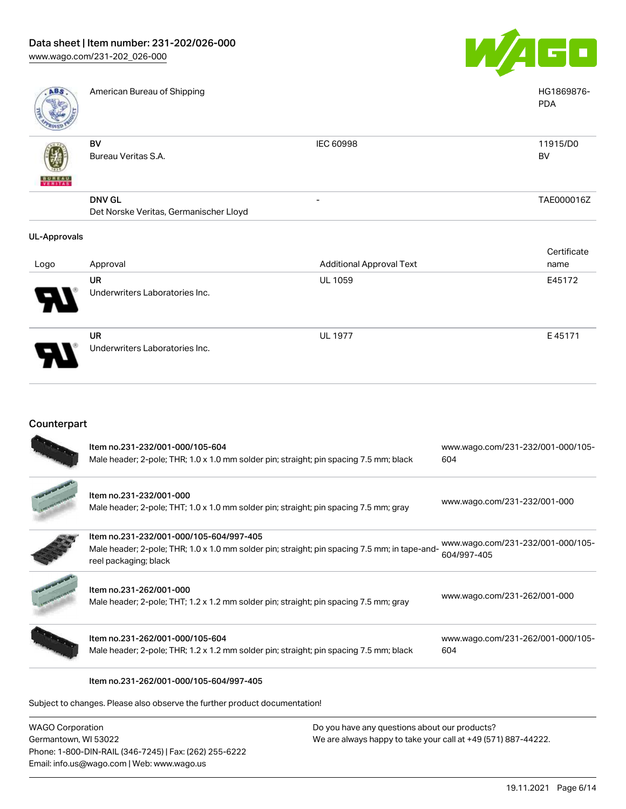

| Logo                     | Approval                               | <b>Additional Approval Text</b> | name        |
|--------------------------|----------------------------------------|---------------------------------|-------------|
|                          |                                        |                                 | Certificate |
| <b>UL-Approvals</b>      |                                        |                                 |             |
|                          | Det Norske Veritas, Germanischer Lloyd |                                 |             |
|                          | <b>DNV GL</b>                          | $\overline{\phantom{0}}$        | TAE000016Z  |
| <b>BUREAU</b><br>VERITAS |                                        |                                 |             |
|                          | Bureau Veritas S.A.                    |                                 | BV          |
|                          | BV                                     | <b>IEC 60998</b>                | 11915/D0    |
|                          |                                        |                                 | <b>PDA</b>  |
| ABS                      | American Bureau of Shipping            |                                 | HG1869876-  |

| Logo | Approval                             | Additional Approval Text | name   |
|------|--------------------------------------|--------------------------|--------|
| Ъ.   | UR<br>Underwriters Laboratories Inc. | <b>UL 1059</b>           | E45172 |
| Э    | UR<br>Underwriters Laboratories Inc. | <b>UL 1977</b>           | E45171 |

# Counterpart

|                    | Item no.231-232/001-000/105-604<br>Male header; 2-pole; THR; 1.0 x 1.0 mm solder pin; straight; pin spacing 7.5 mm; black                                         | www.wago.com/231-232/001-000/105-<br>604         |
|--------------------|-------------------------------------------------------------------------------------------------------------------------------------------------------------------|--------------------------------------------------|
|                    | Item no.231-232/001-000<br>Male header; 2-pole; THT; 1.0 x 1.0 mm solder pin; straight; pin spacing 7.5 mm; gray                                                  | www.wago.com/231-232/001-000                     |
|                    | Item no.231-232/001-000/105-604/997-405<br>Male header; 2-pole; THR; 1.0 x 1.0 mm solder pin; straight; pin spacing 7.5 mm; in tape-and-<br>reel packaging; black | www.wago.com/231-232/001-000/105-<br>604/997-405 |
|                    | Item no.231-262/001-000<br>Male header; 2-pole; THT; 1.2 x 1.2 mm solder pin; straight; pin spacing 7.5 mm; gray                                                  | www.wago.com/231-262/001-000                     |
|                    | Item no.231-262/001-000/105-604<br>Male header; 2-pole; THR; 1.2 x 1.2 mm solder pin; straight; pin spacing 7.5 mm; black                                         | www.wago.com/231-262/001-000/105-<br>604         |
|                    | Item no.231-262/001-000/105-604/997-405                                                                                                                           |                                                  |
|                    | Subject to changes. Please also observe the further product documentation!                                                                                        |                                                  |
| $MACO$ Corporation | Do vou bave any questions about our producte?                                                                                                                     |                                                  |

WAGO Corporation Germantown, WI 53022 Phone: 1-800-DIN-RAIL (346-7245) | Fax: (262) 255-6222 Email: info.us@wago.com | Web: www.wago.us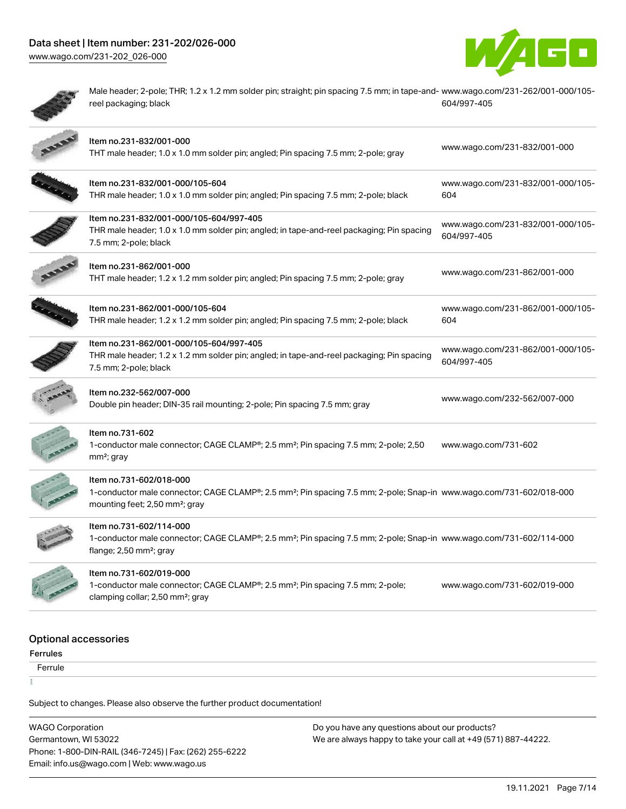



۶

۲

Male header; 2-pole; THR; 1.2 x 1.2 mm solder pin; straight; pin spacing 7.5 mm; in tape-and-[www.wago.com/231-262/001-000/105](https://www.wago.com/231-262/001-000/105-604/997-405) reel packaging; black [604/997-405](https://www.wago.com/231-262/001-000/105-604/997-405)

|                      | Item no.231-832/001-000<br>THT male header; 1.0 x 1.0 mm solder pin; angled; Pin spacing 7.5 mm; 2-pole; gray                                                                                            | www.wago.com/231-832/001-000                     |
|----------------------|----------------------------------------------------------------------------------------------------------------------------------------------------------------------------------------------------------|--------------------------------------------------|
|                      | Item no.231-832/001-000/105-604<br>THR male header; 1.0 x 1.0 mm solder pin; angled; Pin spacing 7.5 mm; 2-pole; black                                                                                   | www.wago.com/231-832/001-000/105-<br>604         |
|                      | Item no.231-832/001-000/105-604/997-405<br>THR male header; 1.0 x 1.0 mm solder pin; angled; in tape-and-reel packaging; Pin spacing<br>7.5 mm; 2-pole; black                                            | www.wago.com/231-832/001-000/105-<br>604/997-405 |
|                      | Item no.231-862/001-000<br>THT male header; 1.2 x 1.2 mm solder pin; angled; Pin spacing 7.5 mm; 2-pole; gray                                                                                            | www.wago.com/231-862/001-000                     |
|                      | Item no.231-862/001-000/105-604<br>THR male header; 1.2 x 1.2 mm solder pin; angled; Pin spacing 7.5 mm; 2-pole; black                                                                                   | www.wago.com/231-862/001-000/105-<br>604         |
|                      | Item no.231-862/001-000/105-604/997-405<br>THR male header; 1.2 x 1.2 mm solder pin; angled; in tape-and-reel packaging; Pin spacing<br>7.5 mm; 2-pole; black                                            | www.wago.com/231-862/001-000/105-<br>604/997-405 |
|                      | Item no.232-562/007-000<br>Double pin header; DIN-35 rail mounting; 2-pole; Pin spacing 7.5 mm; gray                                                                                                     | www.wago.com/232-562/007-000                     |
|                      | Item no.731-602<br>1-conductor male connector; CAGE CLAMP®; 2.5 mm <sup>2</sup> ; Pin spacing 7.5 mm; 2-pole; 2,50<br>$mm2$ ; gray                                                                       | www.wago.com/731-602                             |
|                      | Item no.731-602/018-000<br>1-conductor male connector; CAGE CLAMP®; 2.5 mm <sup>2</sup> ; Pin spacing 7.5 mm; 2-pole; Snap-in www.wago.com/731-602/018-000<br>mounting feet; 2,50 mm <sup>2</sup> ; gray |                                                  |
|                      | Item no.731-602/114-000<br>1-conductor male connector; CAGE CLAMP®; 2.5 mm <sup>2</sup> ; Pin spacing 7.5 mm; 2-pole; Snap-in www.wago.com/731-602/114-000<br>flange; 2,50 mm <sup>2</sup> ; gray        |                                                  |
|                      | Item no.731-602/019-000<br>1-conductor male connector; CAGE CLAMP®; 2.5 mm <sup>2</sup> ; Pin spacing 7.5 mm; 2-pole;<br>clamping collar; 2,50 mm <sup>2</sup> ; gray                                    | www.wago.com/731-602/019-000                     |
| )ptional accessories |                                                                                                                                                                                                          |                                                  |

### Optional accessories

Ferrules

 Ferrule  $\frac{1}{3}$ 

Subject to changes. Please also observe the further product documentation!

WAGO Corporation Germantown, WI 53022 Phone: 1-800-DIN-RAIL (346-7245) | Fax: (262) 255-6222 Email: info.us@wago.com | Web: www.wago.us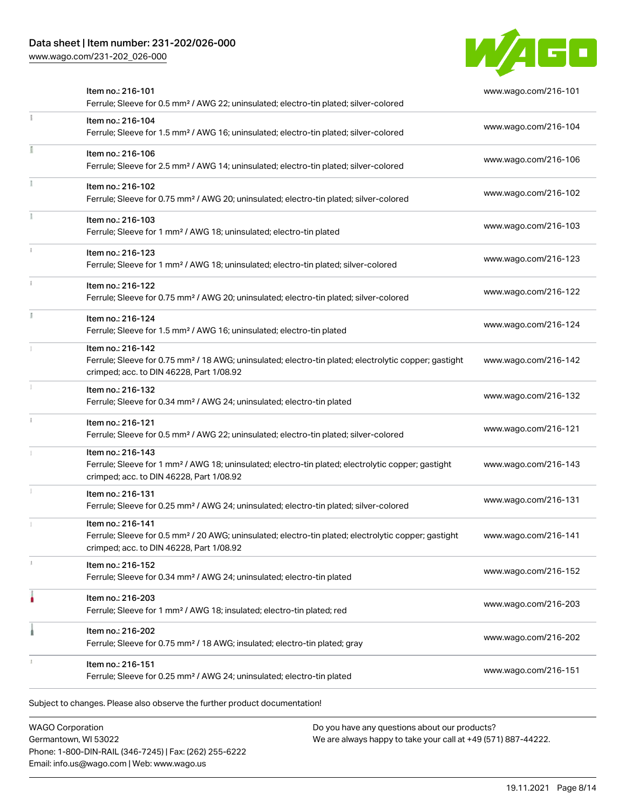# Data sheet | Item number: 231-202/026-000

[www.wago.com/231-202\\_026-000](http://www.wago.com/231-202_026-000)



| Item no.: 216-101<br>Ferrule; Sleeve for 0.5 mm <sup>2</sup> / AWG 22; uninsulated; electro-tin plated; silver-colored                                                             | www.wago.com/216-101 |
|------------------------------------------------------------------------------------------------------------------------------------------------------------------------------------|----------------------|
| Item no.: 216-104<br>Ferrule; Sleeve for 1.5 mm <sup>2</sup> / AWG 16; uninsulated; electro-tin plated; silver-colored                                                             | www.wago.com/216-104 |
| Item no.: 216-106<br>Ferrule; Sleeve for 2.5 mm <sup>2</sup> / AWG 14; uninsulated; electro-tin plated; silver-colored                                                             | www.wago.com/216-106 |
| Item no.: 216-102<br>Ferrule; Sleeve for 0.75 mm <sup>2</sup> / AWG 20; uninsulated; electro-tin plated; silver-colored                                                            | www.wago.com/216-102 |
| Item no.: 216-103<br>Ferrule; Sleeve for 1 mm <sup>2</sup> / AWG 18; uninsulated; electro-tin plated                                                                               | www.wago.com/216-103 |
| Item no.: 216-123<br>Ferrule; Sleeve for 1 mm <sup>2</sup> / AWG 18; uninsulated; electro-tin plated; silver-colored                                                               | www.wago.com/216-123 |
| Item no.: 216-122<br>Ferrule; Sleeve for 0.75 mm <sup>2</sup> / AWG 20; uninsulated; electro-tin plated; silver-colored                                                            | www.wago.com/216-122 |
| Item no.: 216-124<br>Ferrule; Sleeve for 1.5 mm <sup>2</sup> / AWG 16; uninsulated; electro-tin plated                                                                             | www.wago.com/216-124 |
| Item no.: 216-142<br>Ferrule; Sleeve for 0.75 mm <sup>2</sup> / 18 AWG; uninsulated; electro-tin plated; electrolytic copper; gastight<br>crimped; acc. to DIN 46228, Part 1/08.92 | www.wago.com/216-142 |
| Item no.: 216-132<br>Ferrule; Sleeve for 0.34 mm <sup>2</sup> / AWG 24; uninsulated; electro-tin plated                                                                            | www.wago.com/216-132 |
| Item no.: 216-121<br>Ferrule; Sleeve for 0.5 mm <sup>2</sup> / AWG 22; uninsulated; electro-tin plated; silver-colored                                                             | www.wago.com/216-121 |
| Item no.: 216-143<br>Ferrule; Sleeve for 1 mm <sup>2</sup> / AWG 18; uninsulated; electro-tin plated; electrolytic copper; gastight<br>crimped; acc. to DIN 46228, Part 1/08.92    | www.wago.com/216-143 |
| Item no.: 216-131<br>Ferrule; Sleeve for 0.25 mm <sup>2</sup> / AWG 24; uninsulated; electro-tin plated; silver-colored                                                            | www.wago.com/216-131 |
| Item no.: 216-141<br>Ferrule; Sleeve for 0.5 mm <sup>2</sup> / 20 AWG; uninsulated; electro-tin plated; electrolytic copper; gastight<br>crimped; acc. to DIN 46228, Part 1/08.92  | www.wago.com/216-141 |
| ltem no.: 216-152<br>Ferrule; Sleeve for 0.34 mm <sup>2</sup> / AWG 24; uninsulated; electro-tin plated                                                                            | www.wago.com/216-152 |
| Item no.: 216-203<br>Ferrule; Sleeve for 1 mm <sup>2</sup> / AWG 18; insulated; electro-tin plated; red                                                                            | www.wago.com/216-203 |
| Item no.: 216-202<br>Ferrule; Sleeve for 0.75 mm <sup>2</sup> / 18 AWG; insulated; electro-tin plated; gray                                                                        | www.wago.com/216-202 |
| Item no.: 216-151<br>Ferrule; Sleeve for 0.25 mm <sup>2</sup> / AWG 24; uninsulated; electro-tin plated                                                                            | www.wago.com/216-151 |

WAGO Corporation Germantown, WI 53022 Phone: 1-800-DIN-RAIL (346-7245) | Fax: (262) 255-6222 Email: info.us@wago.com | Web: www.wago.us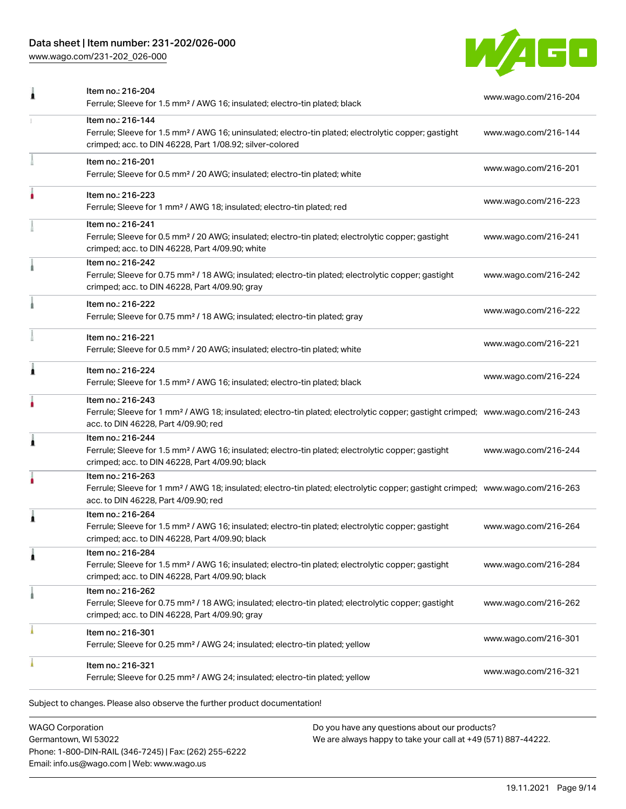# Data sheet | Item number: 231-202/026-000

[www.wago.com/231-202\\_026-000](http://www.wago.com/231-202_026-000)



|   | Item no.: 216-204<br>Ferrule; Sleeve for 1.5 mm <sup>2</sup> / AWG 16; insulated; electro-tin plated; black                                                                                             | www.wago.com/216-204 |
|---|---------------------------------------------------------------------------------------------------------------------------------------------------------------------------------------------------------|----------------------|
|   | Item no.: 216-144<br>Ferrule; Sleeve for 1.5 mm <sup>2</sup> / AWG 16; uninsulated; electro-tin plated; electrolytic copper; gastight<br>crimped; acc. to DIN 46228, Part 1/08.92; silver-colored       | www.wago.com/216-144 |
|   | Item no.: 216-201<br>Ferrule; Sleeve for 0.5 mm <sup>2</sup> / 20 AWG; insulated; electro-tin plated; white                                                                                             | www.wago.com/216-201 |
|   | Item no.: 216-223<br>Ferrule; Sleeve for 1 mm <sup>2</sup> / AWG 18; insulated; electro-tin plated; red                                                                                                 | www.wago.com/216-223 |
|   | Item no.: 216-241<br>Ferrule; Sleeve for 0.5 mm <sup>2</sup> / 20 AWG; insulated; electro-tin plated; electrolytic copper; gastight<br>crimped; acc. to DIN 46228, Part 4/09.90; white                  | www.wago.com/216-241 |
|   | Item no.: 216-242<br>Ferrule; Sleeve for 0.75 mm <sup>2</sup> / 18 AWG; insulated; electro-tin plated; electrolytic copper; gastight<br>crimped; acc. to DIN 46228, Part 4/09.90; gray                  | www.wago.com/216-242 |
|   | Item no.: 216-222<br>Ferrule; Sleeve for 0.75 mm <sup>2</sup> / 18 AWG; insulated; electro-tin plated; gray                                                                                             | www.wago.com/216-222 |
|   | Item no.: 216-221<br>Ferrule; Sleeve for 0.5 mm <sup>2</sup> / 20 AWG; insulated; electro-tin plated; white                                                                                             | www.wago.com/216-221 |
| 1 | Item no.: 216-224<br>Ferrule; Sleeve for 1.5 mm <sup>2</sup> / AWG 16; insulated; electro-tin plated; black                                                                                             | www.wago.com/216-224 |
|   | Item no.: 216-243<br>Ferrule; Sleeve for 1 mm <sup>2</sup> / AWG 18; insulated; electro-tin plated; electrolytic copper; gastight crimped; www.wago.com/216-243<br>acc. to DIN 46228, Part 4/09.90; red |                      |
| Â | Item no.: 216-244<br>Ferrule; Sleeve for 1.5 mm <sup>2</sup> / AWG 16; insulated; electro-tin plated; electrolytic copper; gastight<br>crimped; acc. to DIN 46228, Part 4/09.90; black                  | www.wago.com/216-244 |
|   | Item no.: 216-263<br>Ferrule; Sleeve for 1 mm <sup>2</sup> / AWG 18; insulated; electro-tin plated; electrolytic copper; gastight crimped; www.wago.com/216-263<br>acc. to DIN 46228, Part 4/09.90; red |                      |
| 1 | Item no.: 216-264<br>Ferrule; Sleeve for 1.5 mm <sup>2</sup> / AWG 16; insulated; electro-tin plated; electrolytic copper; gastight<br>crimped; acc. to DIN 46228, Part 4/09.90; black                  | www.wago.com/216-264 |
| 1 | Item no.: 216-284<br>Ferrule; Sleeve for 1.5 mm <sup>2</sup> / AWG 16; insulated; electro-tin plated; electrolytic copper; gastight<br>crimped; acc. to DIN 46228, Part 4/09.90; black                  | www.wago.com/216-284 |
|   | Item no.: 216-262<br>Ferrule; Sleeve for 0.75 mm <sup>2</sup> / 18 AWG; insulated; electro-tin plated; electrolytic copper; gastight<br>crimped; acc. to DIN 46228, Part 4/09.90; gray                  | www.wago.com/216-262 |
|   | Item no.: 216-301<br>Ferrule; Sleeve for 0.25 mm <sup>2</sup> / AWG 24; insulated; electro-tin plated; yellow                                                                                           | www.wago.com/216-301 |
|   | Item no.: 216-321<br>Ferrule; Sleeve for 0.25 mm <sup>2</sup> / AWG 24; insulated; electro-tin plated; yellow                                                                                           | www.wago.com/216-321 |

WAGO Corporation Germantown, WI 53022 Phone: 1-800-DIN-RAIL (346-7245) | Fax: (262) 255-6222 Email: info.us@wago.com | Web: www.wago.us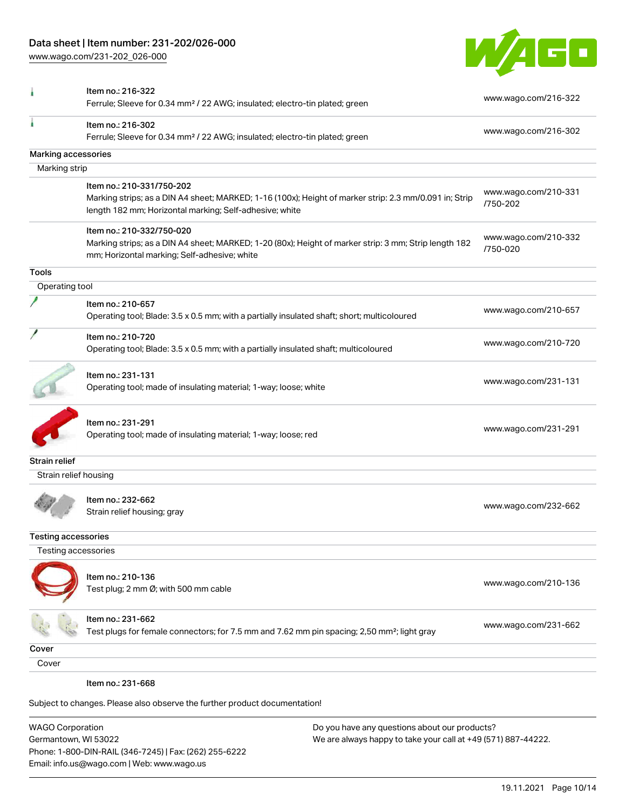Phone: 1-800-DIN-RAIL (346-7245) | Fax: (262) 255-6222

Email: info.us@wago.com | Web: www.wago.us

[www.wago.com/231-202\\_026-000](http://www.wago.com/231-202_026-000)



|                                                 | Item no.: 216-322<br>Ferrule; Sleeve for 0.34 mm <sup>2</sup> / 22 AWG; insulated; electro-tin plated; green                                                                                   |                                                                                                                | www.wago.com/216-322             |
|-------------------------------------------------|------------------------------------------------------------------------------------------------------------------------------------------------------------------------------------------------|----------------------------------------------------------------------------------------------------------------|----------------------------------|
|                                                 | Item no.: 216-302<br>Ferrule; Sleeve for 0.34 mm <sup>2</sup> / 22 AWG; insulated; electro-tin plated; green                                                                                   |                                                                                                                | www.wago.com/216-302             |
| Marking accessories                             |                                                                                                                                                                                                |                                                                                                                |                                  |
| Marking strip                                   |                                                                                                                                                                                                |                                                                                                                |                                  |
|                                                 | Item no.: 210-331/750-202<br>Marking strips; as a DIN A4 sheet; MARKED; 1-16 (100x); Height of marker strip: 2.3 mm/0.091 in; Strip<br>length 182 mm; Horizontal marking; Self-adhesive; white |                                                                                                                | www.wago.com/210-331<br>/750-202 |
|                                                 | Item no.: 210-332/750-020<br>Marking strips; as a DIN A4 sheet; MARKED; 1-20 (80x); Height of marker strip: 3 mm; Strip length 182<br>mm; Horizontal marking; Self-adhesive; white             |                                                                                                                | www.wago.com/210-332<br>/750-020 |
| <b>Tools</b>                                    |                                                                                                                                                                                                |                                                                                                                |                                  |
| Operating tool                                  |                                                                                                                                                                                                |                                                                                                                |                                  |
|                                                 | Item no.: 210-657<br>Operating tool; Blade: 3.5 x 0.5 mm; with a partially insulated shaft; short; multicoloured                                                                               |                                                                                                                | www.wago.com/210-657             |
|                                                 | Item no.: 210-720<br>Operating tool; Blade: 3.5 x 0.5 mm; with a partially insulated shaft; multicoloured                                                                                      |                                                                                                                | www.wago.com/210-720             |
|                                                 | Item no.: 231-131<br>Operating tool; made of insulating material; 1-way; loose; white                                                                                                          |                                                                                                                | www.wago.com/231-131             |
|                                                 | Item no.: 231-291<br>Operating tool; made of insulating material; 1-way; loose; red                                                                                                            |                                                                                                                | www.wago.com/231-291             |
| Strain relief                                   |                                                                                                                                                                                                |                                                                                                                |                                  |
| Strain relief housing                           |                                                                                                                                                                                                |                                                                                                                |                                  |
|                                                 | Item no.: 232-662<br>Strain relief housing; gray                                                                                                                                               |                                                                                                                | www.wago.com/232-662             |
| <b>Testing accessories</b>                      |                                                                                                                                                                                                |                                                                                                                |                                  |
| Testing accessories                             |                                                                                                                                                                                                |                                                                                                                |                                  |
|                                                 | Item no.: 210-136<br>Test plug; 2 mm Ø; with 500 mm cable                                                                                                                                      |                                                                                                                | www.wago.com/210-136             |
|                                                 | ltem no.: 231-662<br>Test plugs for female connectors; for 7.5 mm and 7.62 mm pin spacing; 2,50 mm <sup>2</sup> ; light gray                                                                   |                                                                                                                | www.wago.com/231-662             |
| Cover                                           |                                                                                                                                                                                                |                                                                                                                |                                  |
| Cover                                           |                                                                                                                                                                                                |                                                                                                                |                                  |
|                                                 | Item no.: 231-668                                                                                                                                                                              |                                                                                                                |                                  |
|                                                 | Subject to changes. Please also observe the further product documentation!                                                                                                                     |                                                                                                                |                                  |
| <b>WAGO Corporation</b><br>Germantown, WI 53022 |                                                                                                                                                                                                | Do you have any questions about our products?<br>We are always happy to take your call at +49 (571) 887-44222. |                                  |

19.11.2021 Page 10/14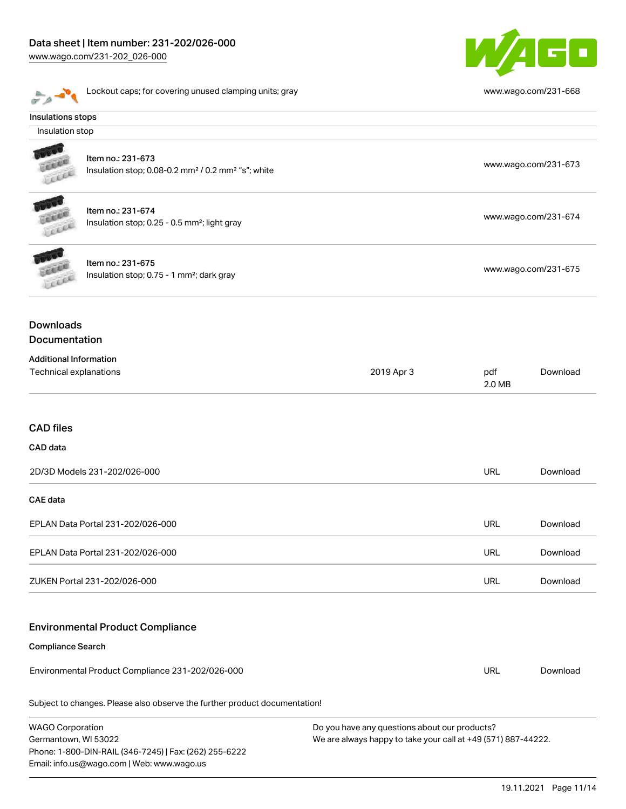# Data sheet | Item number: 231-202/026-000

Phone: 1-800-DIN-RAIL (346-7245) | Fax: (262) 255-6222

Email: info.us@wago.com | Web: www.wago.us

[www.wago.com/231-202\\_026-000](http://www.wago.com/231-202_026-000)



|                                                                                                                                                                   | Lockout caps; for covering unused clamping units; gray                                          |            |               | www.wago.com/231-668 |
|-------------------------------------------------------------------------------------------------------------------------------------------------------------------|-------------------------------------------------------------------------------------------------|------------|---------------|----------------------|
| Insulations stops                                                                                                                                                 |                                                                                                 |            |               |                      |
| Insulation stop                                                                                                                                                   |                                                                                                 |            |               |                      |
|                                                                                                                                                                   | Item no.: 231-673<br>Insulation stop; 0.08-0.2 mm <sup>2</sup> / 0.2 mm <sup>2</sup> "s"; white |            |               | www.wago.com/231-673 |
| <b>AND</b>                                                                                                                                                        | Item no.: 231-674<br>Insulation stop; 0.25 - 0.5 mm <sup>2</sup> ; light gray                   |            |               | www.wago.com/231-674 |
|                                                                                                                                                                   | Item no.: 231-675<br>Insulation stop; 0.75 - 1 mm <sup>2</sup> ; dark gray                      |            |               | www.wago.com/231-675 |
| <b>Downloads</b><br>Documentation                                                                                                                                 |                                                                                                 |            |               |                      |
| <b>Additional Information</b><br>Technical explanations                                                                                                           |                                                                                                 | 2019 Apr 3 | pdf<br>2.0 MB | Download             |
| <b>CAD files</b>                                                                                                                                                  |                                                                                                 |            |               |                      |
| CAD data                                                                                                                                                          |                                                                                                 |            |               |                      |
|                                                                                                                                                                   | 2D/3D Models 231-202/026-000                                                                    |            | URL           | Download             |
| <b>CAE</b> data                                                                                                                                                   |                                                                                                 |            |               |                      |
|                                                                                                                                                                   | EPLAN Data Portal 231-202/026-000                                                               |            | URL           | Download             |
|                                                                                                                                                                   | EPLAN Data Portal 231-202/026-000                                                               |            | <b>URL</b>    | Download             |
|                                                                                                                                                                   | ZUKEN Portal 231-202/026-000                                                                    |            | <b>URL</b>    | Download             |
|                                                                                                                                                                   | <b>Environmental Product Compliance</b>                                                         |            |               |                      |
| <b>Compliance Search</b>                                                                                                                                          |                                                                                                 |            |               |                      |
|                                                                                                                                                                   | Environmental Product Compliance 231-202/026-000                                                |            | URL           | Download             |
|                                                                                                                                                                   | Subject to changes. Please also observe the further product documentation!                      |            |               |                      |
| <b>WAGO Corporation</b><br>Do you have any questions about our products?<br>Germantown, WI 53022<br>We are always happy to take your call at +49 (571) 887-44222. |                                                                                                 |            |               |                      |

19.11.2021 Page 11/14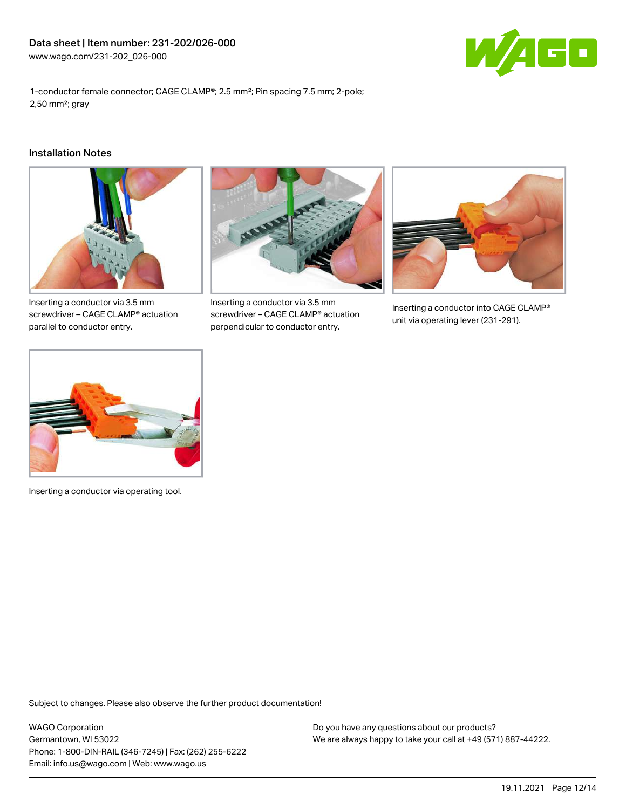

1-conductor female connector; CAGE CLAMP®; 2.5 mm²; Pin spacing 7.5 mm; 2-pole; 2,50 mm²; gray

#### Installation Notes



Inserting a conductor via 3.5 mm screwdriver – CAGE CLAMP® actuation parallel to conductor entry.



Inserting a conductor via 3.5 mm screwdriver – CAGE CLAMP® actuation perpendicular to conductor entry.



Inserting a conductor into CAGE CLAMP® unit via operating lever (231-291).



Inserting a conductor via operating tool.

Subject to changes. Please also observe the further product documentation!

WAGO Corporation Germantown, WI 53022 Phone: 1-800-DIN-RAIL (346-7245) | Fax: (262) 255-6222 Email: info.us@wago.com | Web: www.wago.us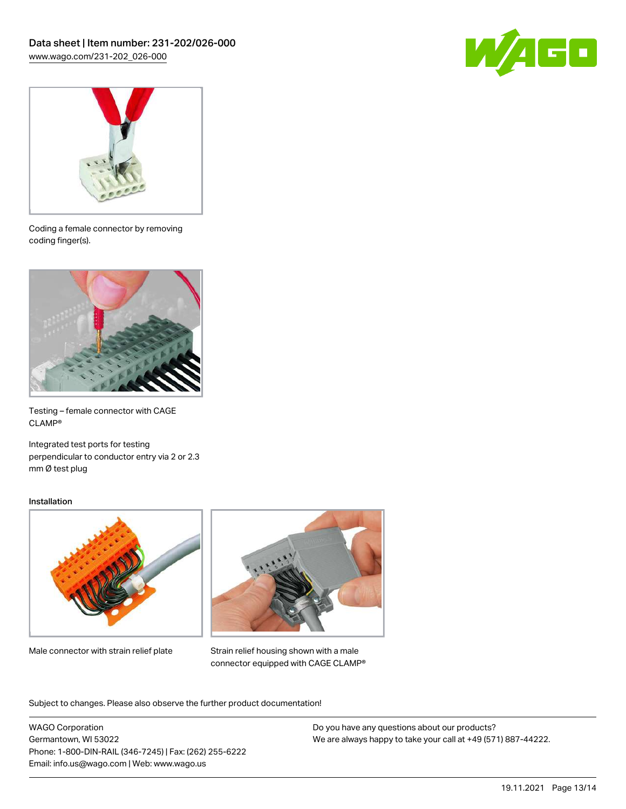



Coding a female connector by removing coding finger(s).



Testing – female connector with CAGE CLAMP®

Integrated test ports for testing perpendicular to conductor entry via 2 or 2.3 mm Ø test plug

#### Installation



Male connector with strain relief plate



Strain relief housing shown with a male connector equipped with CAGE CLAMP®

Subject to changes. Please also observe the further product documentation!

WAGO Corporation Germantown, WI 53022 Phone: 1-800-DIN-RAIL (346-7245) | Fax: (262) 255-6222 Email: info.us@wago.com | Web: www.wago.us